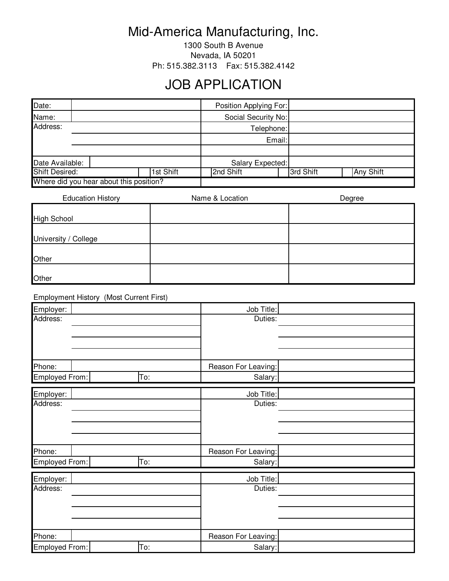## Mid-America Manufacturing, Inc.

1300 South B Avenue Nevada, IA 50201 Ph: 515.382.3113 Fax: 515.382.4142

## JOB APPLICATION

| Date:                                   |  |           |                  | Position Applying For: |                     |  |  |
|-----------------------------------------|--|-----------|------------------|------------------------|---------------------|--|--|
| Name:                                   |  |           |                  |                        | Social Security No: |  |  |
| Address:                                |  |           |                  |                        | Telephone:          |  |  |
|                                         |  |           |                  |                        | Email:              |  |  |
|                                         |  |           |                  |                        |                     |  |  |
| Date Available:                         |  |           | Salary Expected: |                        |                     |  |  |
| <b>Shift Desired:</b><br>1st Shift      |  | 2nd Shift |                  | 3rd Shift              | <b>Any Shift</b>    |  |  |
| Where did you hear about this position? |  |           |                  |                        |                     |  |  |

| <b>Education History</b> | Name & Location | Degree |
|--------------------------|-----------------|--------|
|                          |                 |        |
| <b>High School</b>       |                 |        |
|                          |                 |        |
| University / College     |                 |        |
|                          |                 |        |
| Other                    |                 |        |
|                          |                 |        |
| Other                    |                 |        |

Employment History (Most Current First)

| Employer:      |     | Job Title:          |  |
|----------------|-----|---------------------|--|
| Address:       |     | Duties:             |  |
|                |     |                     |  |
|                |     |                     |  |
|                |     |                     |  |
| Phone:         |     | Reason For Leaving: |  |
| Employed From: | To: | Salary:             |  |
| Employer:      |     | Job Title:          |  |
| Address:       |     | Duties:             |  |
|                |     |                     |  |
|                |     |                     |  |
|                |     |                     |  |
| Phone:         |     | Reason For Leaving: |  |
| Employed From: | To: | Salary:             |  |
| Employer:      |     | Job Title:          |  |
| Address:       |     | Duties:             |  |
|                |     |                     |  |
|                |     |                     |  |
|                |     |                     |  |
| Phone:         |     | Reason For Leaving: |  |
| Employed From: | To: | Salary:             |  |